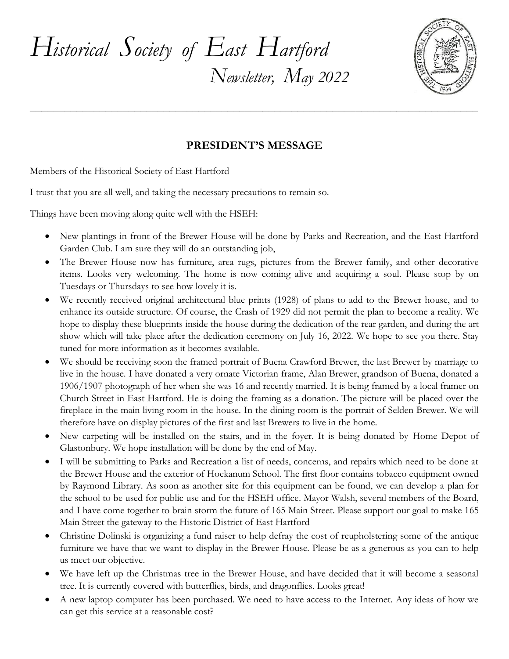



## **PRESIDENT'S MESSAGE**

**\_\_\_\_\_\_\_\_\_\_\_\_\_\_\_\_\_\_\_\_\_\_\_\_\_\_\_\_\_\_\_\_\_\_\_\_\_\_\_\_\_\_\_\_\_\_\_\_\_\_\_\_\_\_\_\_\_\_\_\_\_\_\_\_\_\_\_\_\_\_\_\_\_\_\_\_\_**

Members of the Historical Society of East Hartford

I trust that you are all well, and taking the necessary precautions to remain so.

Things have been moving along quite well with the HSEH:

- New plantings in front of the Brewer House will be done by Parks and Recreation, and the East Hartford Garden Club. I am sure they will do an outstanding job,
- The Brewer House now has furniture, area rugs, pictures from the Brewer family, and other decorative items. Looks very welcoming. The home is now coming alive and acquiring a soul. Please stop by on Tuesdays or Thursdays to see how lovely it is.
- We recently received original architectural blue prints (1928) of plans to add to the Brewer house, and to enhance its outside structure. Of course, the Crash of 1929 did not permit the plan to become a reality. We hope to display these blueprints inside the house during the dedication of the rear garden, and during the art show which will take place after the dedication ceremony on July 16, 2022. We hope to see you there. Stay tuned for more information as it becomes available.
- We should be receiving soon the framed portrait of Buena Crawford Brewer, the last Brewer by marriage to live in the house. I have donated a very ornate Victorian frame, Alan Brewer, grandson of Buena, donated a 1906/1907 photograph of her when she was 16 and recently married. It is being framed by a local framer on Church Street in East Hartford. He is doing the framing as a donation. The picture will be placed over the fireplace in the main living room in the house. In the dining room is the portrait of Selden Brewer. We will therefore have on display pictures of the first and last Brewers to live in the home.
- New carpeting will be installed on the stairs, and in the foyer. It is being donated by Home Depot of Glastonbury. We hope installation will be done by the end of May.
- I will be submitting to Parks and Recreation a list of needs, concerns, and repairs which need to be done at the Brewer House and the exterior of Hockanum School. The first floor contains tobacco equipment owned by Raymond Library. As soon as another site for this equipment can be found, we can develop a plan for the school to be used for public use and for the HSEH office. Mayor Walsh, several members of the Board, and I have come together to brain storm the future of 165 Main Street. Please support our goal to make 165 Main Street the gateway to the Historic District of East Hartford
- Christine Dolinski is organizing a fund raiser to help defray the cost of reupholstering some of the antique furniture we have that we want to display in the Brewer House. Please be as a generous as you can to help us meet our objective.
- We have left up the Christmas tree in the Brewer House, and have decided that it will become a seasonal tree. It is currently covered with butterflies, birds, and dragonflies. Looks great!
- A new laptop computer has been purchased. We need to have access to the Internet. Any ideas of how we can get this service at a reasonable cost?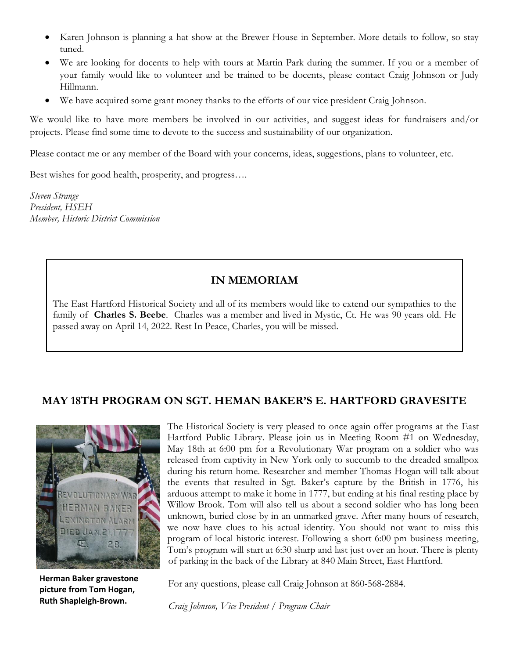- Karen Johnson is planning a hat show at the Brewer House in September. More details to follow, so stay tuned.
- We are looking for docents to help with tours at Martin Park during the summer. If you or a member of your family would like to volunteer and be trained to be docents, please contact Craig Johnson or Judy Hillmann.
- We have acquired some grant money thanks to the efforts of our vice president Craig Johnson.

We would like to have more members be involved in our activities, and suggest ideas for fundraisers and/or projects. Please find some time to devote to the success and sustainability of our organization.

Please contact me or any member of the Board with your concerns, ideas, suggestions, plans to volunteer, etc.

Best wishes for good health, prosperity, and progress….

*Steven Strange President, HSEH Member, Historic District Commission*

#### **IN MEMORIAM**

The East Hartford Historical Society and all of its members would like to extend our sympathies to the family of **Charles S. Beebe**. Charles was a member and lived in Mystic, Ct. He was 90 years old. He passed away on April 14, 2022. Rest In Peace, Charles, you will be missed.

### **MAY 18TH PROGRAM ON SGT. HEMAN BAKER'S E. HARTFORD GRAVESITE**



**Herman Baker gravestone picture from Tom Hogan, Ruth Shapleigh-Brown.**

The Historical Society is very pleased to once again offer programs at the East Hartford Public Library. Please join us in Meeting Room #1 on Wednesday, May 18th at 6:00 pm for a Revolutionary War program on a soldier who was released from captivity in New York only to succumb to the dreaded smallpox during his return home. Researcher and member Thomas Hogan will talk about the events that resulted in Sgt. Baker's capture by the British in 1776, his arduous attempt to make it home in 1777, but ending at his final resting place by Willow Brook. Tom will also tell us about a second soldier who has long been unknown, buried close by in an unmarked grave. After many hours of research, we now have clues to his actual identity. You should not want to miss this program of local historic interest. Following a short 6:00 pm business meeting, Tom's program will start at 6:30 sharp and last just over an hour. There is plenty of parking in the back of the Library at 840 Main Street, East Hartford.

For any questions, please call Craig Johnson at 860-568-2884.

*Craig Johnson, Vice President / Program Chair*